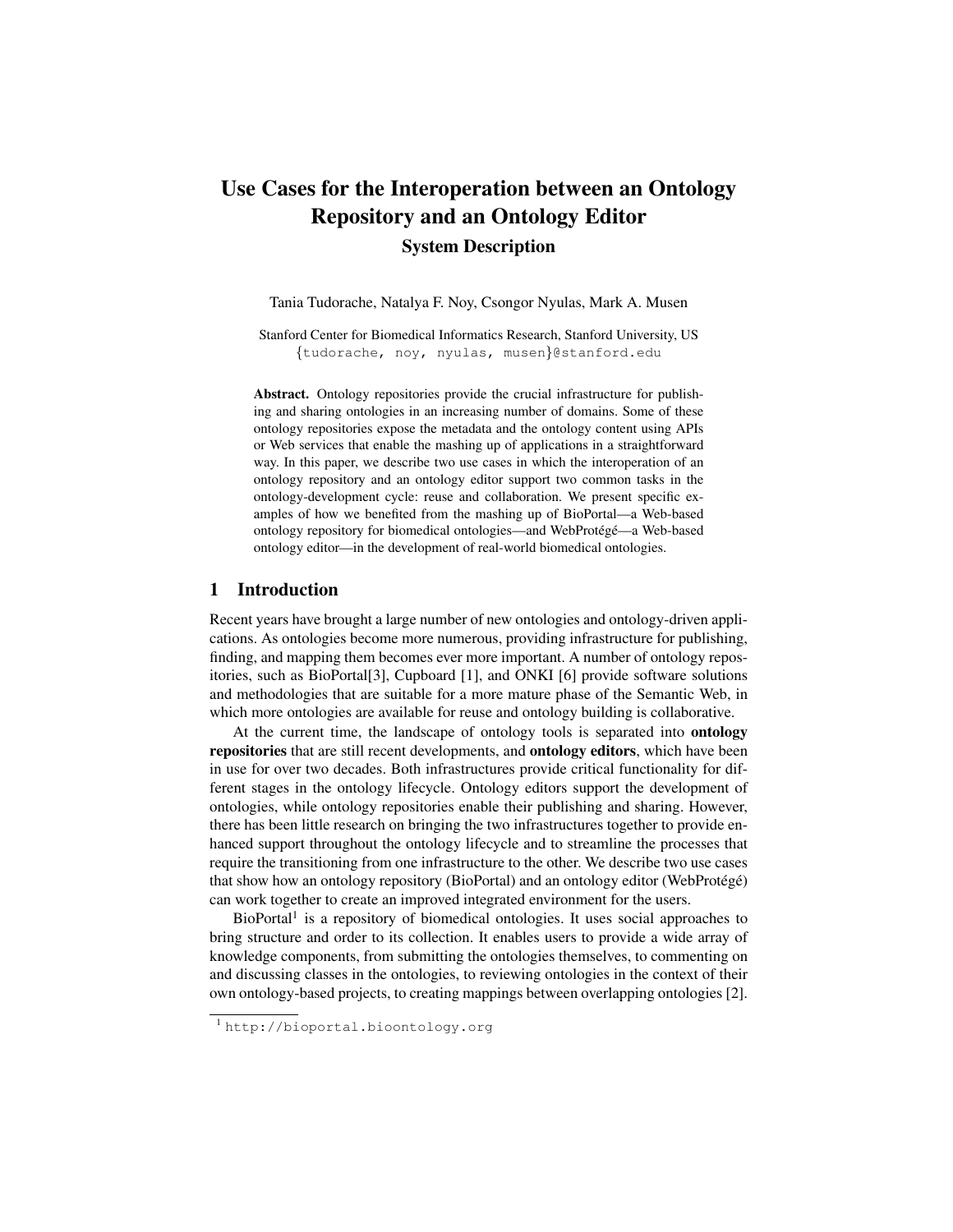# Use Cases for the Interoperation between an Ontology Repository and an Ontology Editor System Description

Tania Tudorache, Natalya F. Noy, Csongor Nyulas, Mark A. Musen

Stanford Center for Biomedical Informatics Research, Stanford University, US {tudorache, noy, nyulas, musen}@stanford.edu

Abstract. Ontology repositories provide the crucial infrastructure for publishing and sharing ontologies in an increasing number of domains. Some of these ontology repositories expose the metadata and the ontology content using APIs or Web services that enable the mashing up of applications in a straightforward way. In this paper, we describe two use cases in which the interoperation of an ontology repository and an ontology editor support two common tasks in the ontology-development cycle: reuse and collaboration. We present specific examples of how we benefited from the mashing up of BioPortal—a Web-based ontology repository for biomedical ontologies—and WebProtégé—a Web-based ontology editor—in the development of real-world biomedical ontologies.

# 1 Introduction

Recent years have brought a large number of new ontologies and ontology-driven applications. As ontologies become more numerous, providing infrastructure for publishing, finding, and mapping them becomes ever more important. A number of ontology repositories, such as BioPortal[3], Cupboard [1], and ONKI [6] provide software solutions and methodologies that are suitable for a more mature phase of the Semantic Web, in which more ontologies are available for reuse and ontology building is collaborative.

At the current time, the landscape of ontology tools is separated into ontology repositories that are still recent developments, and ontology editors, which have been in use for over two decades. Both infrastructures provide critical functionality for different stages in the ontology lifecycle. Ontology editors support the development of ontologies, while ontology repositories enable their publishing and sharing. However, there has been little research on bringing the two infrastructures together to provide enhanced support throughout the ontology lifecycle and to streamline the processes that require the transitioning from one infrastructure to the other. We describe two use cases that show how an ontology repository (BioPortal) and an ontology editor (WebProtégé) can work together to create an improved integrated environment for the users.

BioPortal<sup>1</sup> is a repository of biomedical ontologies. It uses social approaches to bring structure and order to its collection. It enables users to provide a wide array of knowledge components, from submitting the ontologies themselves, to commenting on and discussing classes in the ontologies, to reviewing ontologies in the context of their own ontology-based projects, to creating mappings between overlapping ontologies [2].

<sup>1</sup> http://bioportal.bioontology.org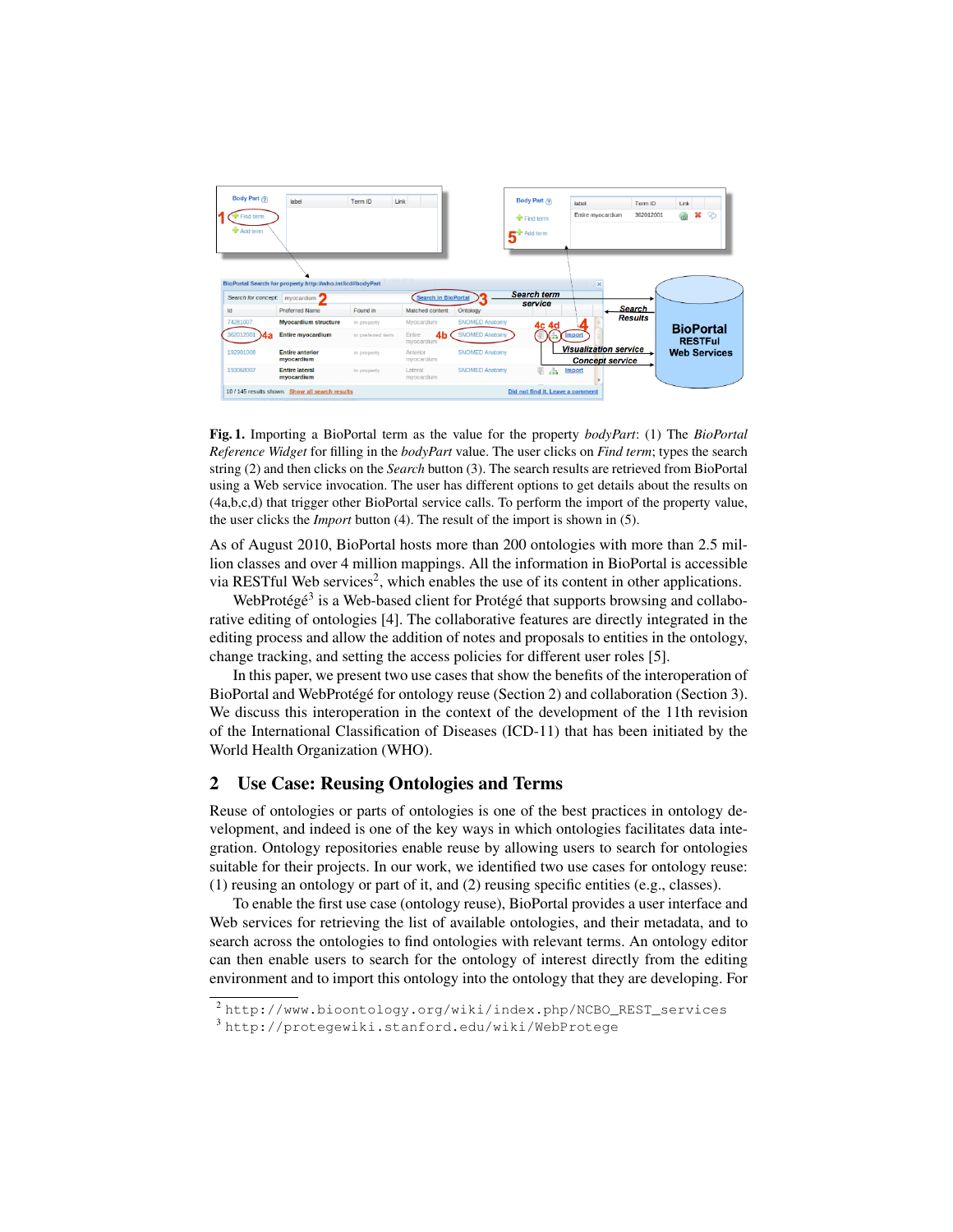

Fig. 1. Importing a BioPortal term as the value for the property *bodyPart*: (1) The *BioPortal Reference Widget* for filling in the *bodyPart* value. The user clicks on *Find term*; types the search string (2) and then clicks on the *Search* button (3). The search results are retrieved from BioPortal using a Web service invocation. The user has different options to get details about the results on (4a,b,c,d) that trigger other BioPortal service calls. To perform the import of the property value, the user clicks the *Import* button (4). The result of the import is shown in (5).

As of August 2010, BioPortal hosts more than 200 ontologies with more than 2.5 million classes and over 4 million mappings. All the information in BioPortal is accessible via RESTful Web services<sup>2</sup>, which enables the use of its content in other applications.

WebProtégé<sup>3</sup> is a Web-based client for Protégé that supports browsing and collaborative editing of ontologies [4]. The collaborative features are directly integrated in the editing process and allow the addition of notes and proposals to entities in the ontology, change tracking, and setting the access policies for different user roles [5].

In this paper, we present two use cases that show the benefits of the interoperation of BioPortal and WebProtégé for ontology reuse (Section 2) and collaboration (Section 3). We discuss this interoperation in the context of the development of the 11th revision of the International Classification of Diseases (ICD-11) that has been initiated by the World Health Organization (WHO).

# 2 Use Case: Reusing Ontologies and Terms

Reuse of ontologies or parts of ontologies is one of the best practices in ontology development, and indeed is one of the key ways in which ontologies facilitates data integration. Ontology repositories enable reuse by allowing users to search for ontologies suitable for their projects. In our work, we identified two use cases for ontology reuse: (1) reusing an ontology or part of it, and (2) reusing specific entities (e.g., classes).

To enable the first use case (ontology reuse), BioPortal provides a user interface and Web services for retrieving the list of available ontologies, and their metadata, and to search across the ontologies to find ontologies with relevant terms. An ontology editor can then enable users to search for the ontology of interest directly from the editing environment and to import this ontology into the ontology that they are developing. For

<sup>2</sup> http://www.bioontology.org/wiki/index.php/NCBO\_REST\_services

<sup>3</sup> http://protegewiki.stanford.edu/wiki/WebProtege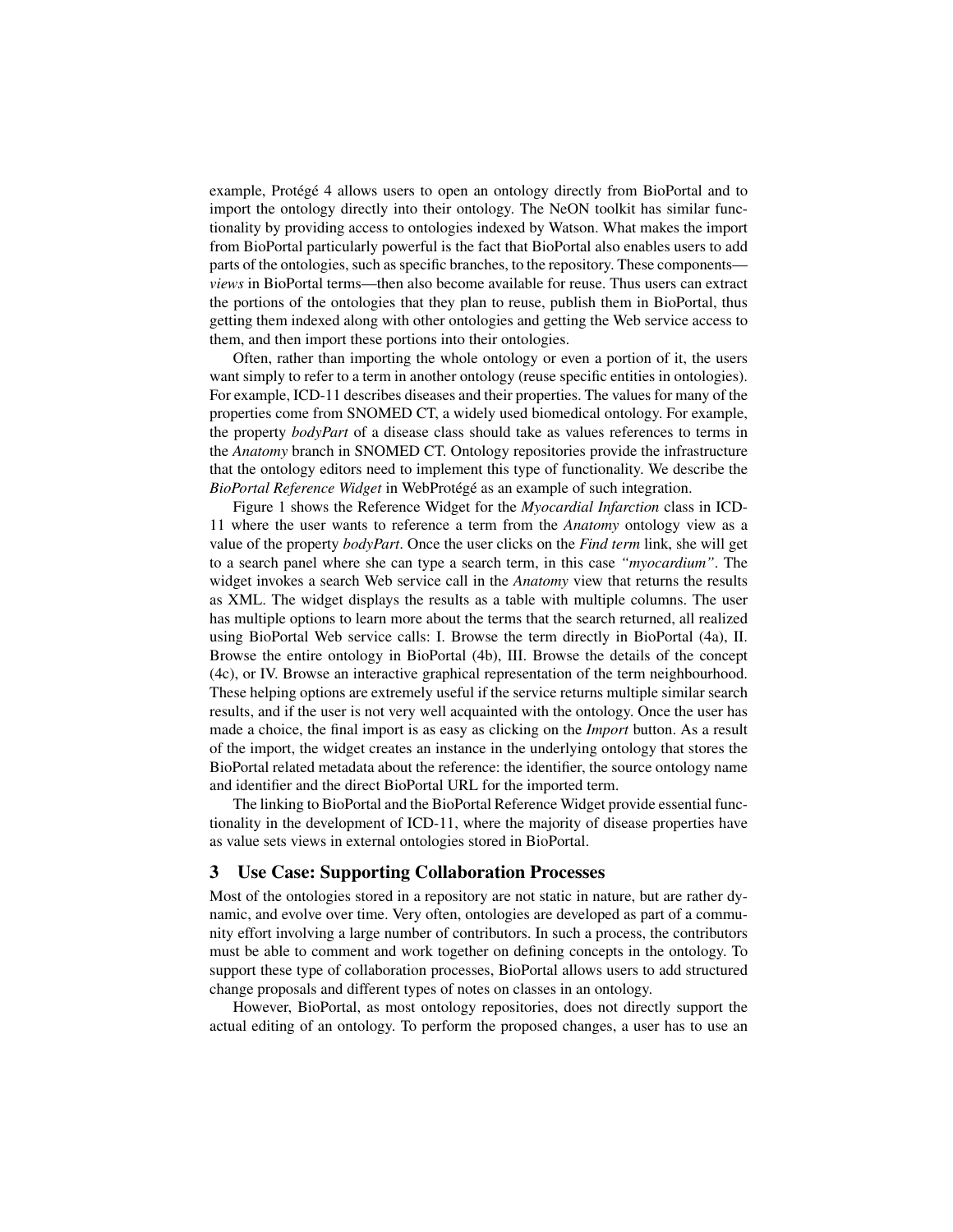example, Protégé 4 allows users to open an ontology directly from BioPortal and to import the ontology directly into their ontology. The NeON toolkit has similar functionality by providing access to ontologies indexed by Watson. What makes the import from BioPortal particularly powerful is the fact that BioPortal also enables users to add parts of the ontologies, such as specific branches, to the repository. These components *views* in BioPortal terms—then also become available for reuse. Thus users can extract the portions of the ontologies that they plan to reuse, publish them in BioPortal, thus getting them indexed along with other ontologies and getting the Web service access to them, and then import these portions into their ontologies.

Often, rather than importing the whole ontology or even a portion of it, the users want simply to refer to a term in another ontology (reuse specific entities in ontologies). For example, ICD-11 describes diseases and their properties. The values for many of the properties come from SNOMED CT, a widely used biomedical ontology. For example, the property *bodyPart* of a disease class should take as values references to terms in the *Anatomy* branch in SNOMED CT. Ontology repositories provide the infrastructure that the ontology editors need to implement this type of functionality. We describe the *BioPortal Reference Widget* in WebProtégé as an example of such integration.

Figure 1 shows the Reference Widget for the *Myocardial Infarction* class in ICD-11 where the user wants to reference a term from the *Anatomy* ontology view as a value of the property *bodyPart*. Once the user clicks on the *Find term* link, she will get to a search panel where she can type a search term, in this case *"myocardium"*. The widget invokes a search Web service call in the *Anatomy* view that returns the results as XML. The widget displays the results as a table with multiple columns. The user has multiple options to learn more about the terms that the search returned, all realized using BioPortal Web service calls: I. Browse the term directly in BioPortal (4a), II. Browse the entire ontology in BioPortal (4b), III. Browse the details of the concept (4c), or IV. Browse an interactive graphical representation of the term neighbourhood. These helping options are extremely useful if the service returns multiple similar search results, and if the user is not very well acquainted with the ontology. Once the user has made a choice, the final import is as easy as clicking on the *Import* button. As a result of the import, the widget creates an instance in the underlying ontology that stores the BioPortal related metadata about the reference: the identifier, the source ontology name and identifier and the direct BioPortal URL for the imported term.

The linking to BioPortal and the BioPortal Reference Widget provide essential functionality in the development of ICD-11, where the majority of disease properties have as value sets views in external ontologies stored in BioPortal.

# 3 Use Case: Supporting Collaboration Processes

Most of the ontologies stored in a repository are not static in nature, but are rather dynamic, and evolve over time. Very often, ontologies are developed as part of a community effort involving a large number of contributors. In such a process, the contributors must be able to comment and work together on defining concepts in the ontology. To support these type of collaboration processes, BioPortal allows users to add structured change proposals and different types of notes on classes in an ontology.

However, BioPortal, as most ontology repositories, does not directly support the actual editing of an ontology. To perform the proposed changes, a user has to use an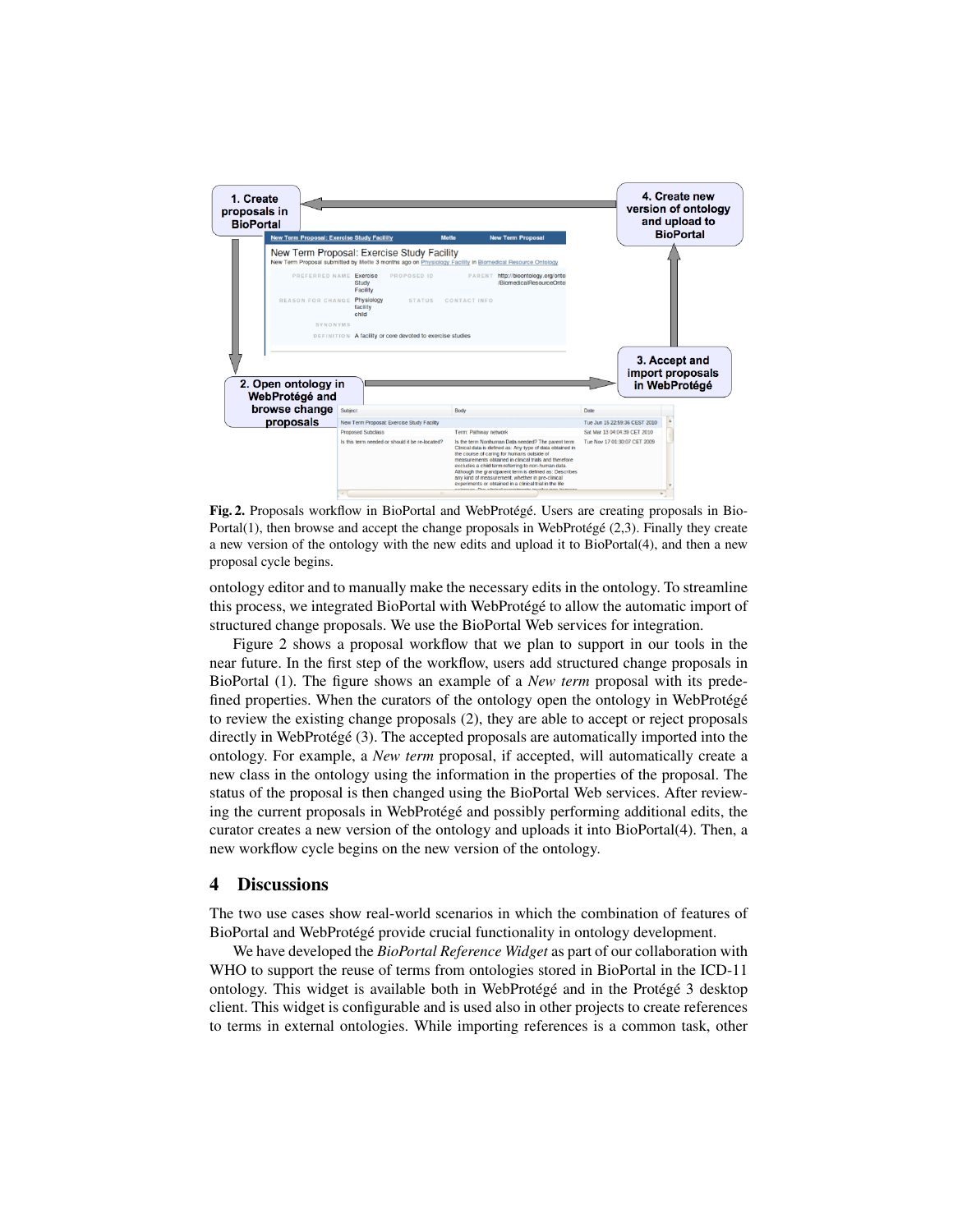

Fig. 2. Proposals workflow in BioPortal and WebProtégé. Users are creating proposals in Bio-Portal(1), then browse and accept the change proposals in WebProtégé  $(2,3)$ . Finally they create a new version of the ontology with the new edits and upload it to BioPortal(4), and then a new proposal cycle begins.

ontology editor and to manually make the necessary edits in the ontology. To streamline this process, we integrated BioPortal with WebProtégé to allow the automatic import of structured change proposals. We use the BioPortal Web services for integration.

Figure 2 shows a proposal workflow that we plan to support in our tools in the near future. In the first step of the workflow, users add structured change proposals in BioPortal (1). The figure shows an example of a *New term* proposal with its predefined properties. When the curators of the ontology open the ontology in WebProtégé to review the existing change proposals (2), they are able to accept or reject proposals directly in WebProtégé (3). The accepted proposals are automatically imported into the ontology. For example, a *New term* proposal, if accepted, will automatically create a new class in the ontology using the information in the properties of the proposal. The status of the proposal is then changed using the BioPortal Web services. After reviewing the current proposals in WebProtégé and possibly performing additional edits, the curator creates a new version of the ontology and uploads it into BioPortal(4). Then, a new workflow cycle begins on the new version of the ontology.

## 4 Discussions

The two use cases show real-world scenarios in which the combination of features of BioPortal and WebProtégé provide crucial functionality in ontology development.

We have developed the *BioPortal Reference Widget* as part of our collaboration with WHO to support the reuse of terms from ontologies stored in BioPortal in the ICD-11 ontology. This widget is available both in WebProtégé and in the Protégé  $3$  desktop client. This widget is configurable and is used also in other projects to create references to terms in external ontologies. While importing references is a common task, other